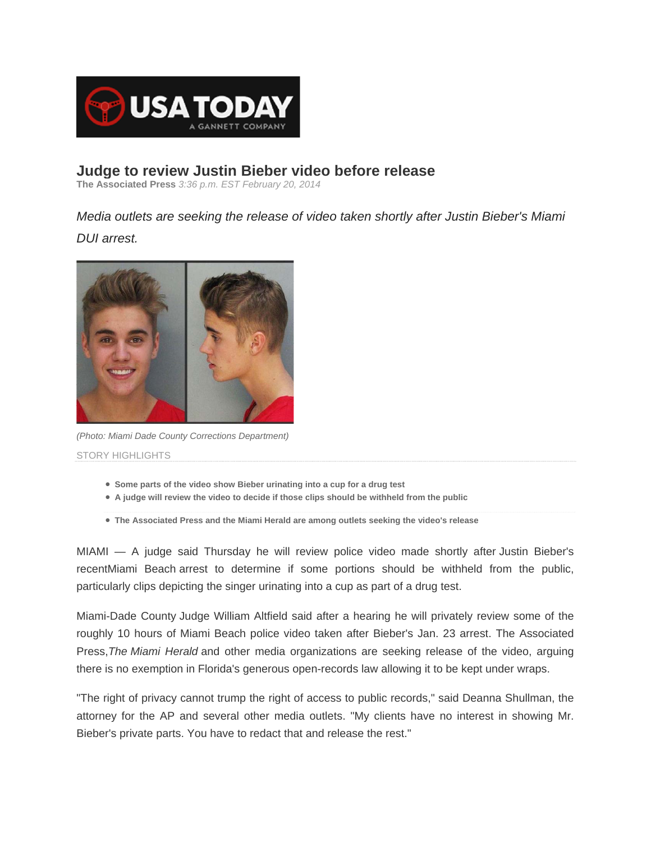

## **Judge to review Justin Bieber video before release**

**The Associated Press** *3:36 p.m. EST February 20, 2014*

*Media outlets are seeking the release of video taken shortly after Justin Bieber's Miami DUI arrest.* 



*(Photo: Miami Dade County Corrections Department)* STORY HIGHLIGHTS

- **Some parts of the video show Bieber urinating into a cup for a drug test**
- **A judge will review the video to decide if those clips should be withheld from the public**
- **The Associated Press and the Miami Herald are among outlets seeking the video's release**

MIAMI — A judge said Thursday he will review police video made shortly after Justin Bieber's recentMiami Beach arrest to determine if some portions should be withheld from the public, particularly clips depicting the singer urinating into a cup as part of a drug test.

Miami-Dade County Judge William Altfield said after a hearing he will privately review some of the roughly 10 hours of Miami Beach police video taken after Bieber's Jan. 23 arrest. The Associated Press,*The Miami Herald* and other media organizations are seeking release of the video, arguing there is no exemption in Florida's generous open-records law allowing it to be kept under wraps.

"The right of privacy cannot trump the right of access to public records," said Deanna Shullman, the attorney for the AP and several other media outlets. "My clients have no interest in showing Mr. Bieber's private parts. You have to redact that and release the rest."